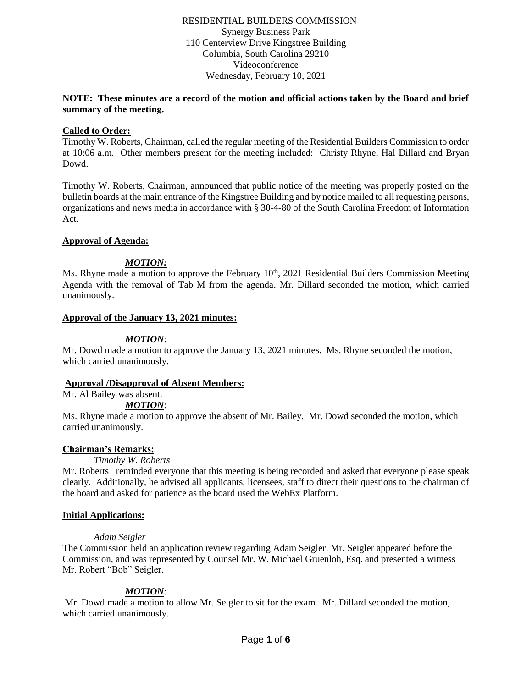### RESIDENTIAL BUILDERS COMMISSION Synergy Business Park 110 Centerview Drive Kingstree Building Columbia, South Carolina 29210 Videoconference Wednesday, February 10, 2021

## **NOTE: These minutes are a record of the motion and official actions taken by the Board and brief summary of the meeting.**

### **Called to Order:**

Timothy W. Roberts, Chairman, called the regular meeting of the Residential Builders Commission to order at 10:06 a.m. Other members present for the meeting included: Christy Rhyne, Hal Dillard and Bryan Dowd.

Timothy W. Roberts, Chairman, announced that public notice of the meeting was properly posted on the bulletin boards at the main entrance of the Kingstree Building and by notice mailed to all requesting persons, organizations and news media in accordance with § 30-4-80 of the South Carolina Freedom of Information Act.

## **Approval of Agenda:**

# *MOTION:*

Ms. Rhyne made a motion to approve the February  $10<sup>th</sup>$ , 2021 Residential Builders Commission Meeting Agenda with the removal of Tab M from the agenda. Mr. Dillard seconded the motion, which carried unanimously.

## **Approval of the January 13, 2021 minutes:**

# *MOTION*:

Mr. Dowd made a motion to approve the January 13, 2021 minutes. Ms. Rhyne seconded the motion, which carried unanimously.

# **Approval /Disapproval of Absent Members:**

Mr. Al Bailey was absent.

# *MOTION*:

Ms. Rhyne made a motion to approve the absent of Mr. Bailey. Mr. Dowd seconded the motion, which carried unanimously.

### **Chairman's Remarks:**

### *Timothy W. Roberts*

Mr. Roberts reminded everyone that this meeting is being recorded and asked that everyone please speak clearly. Additionally, he advised all applicants, licensees, staff to direct their questions to the chairman of the board and asked for patience as the board used the WebEx Platform.

### **Initial Applications:**

### *Adam Seigler*

The Commission held an application review regarding Adam Seigler. Mr. Seigler appeared before the Commission, and was represented by Counsel Mr. W. Michael Gruenloh, Esq. and presented a witness Mr. Robert "Bob" Seigler.

# *MOTION*:

Mr. Dowd made a motion to allow Mr. Seigler to sit for the exam. Mr. Dillard seconded the motion, which carried unanimously.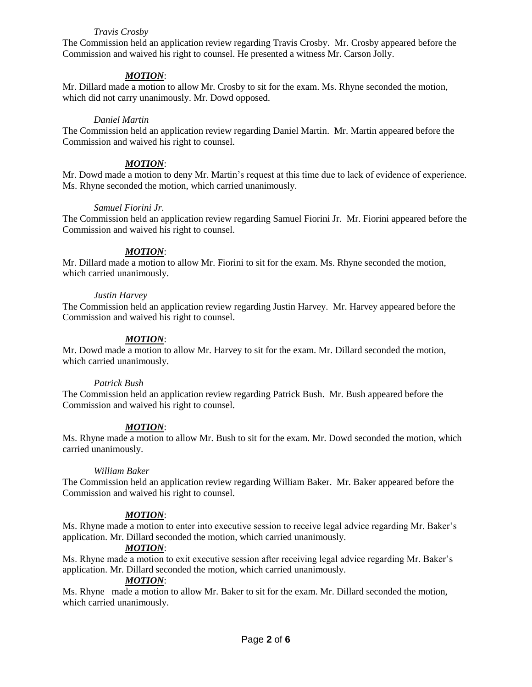## *Travis Crosby*

The Commission held an application review regarding Travis Crosby. Mr. Crosby appeared before the Commission and waived his right to counsel. He presented a witness Mr. Carson Jolly.

# *MOTION*:

Mr. Dillard made a motion to allow Mr. Crosby to sit for the exam. Ms. Rhyne seconded the motion, which did not carry unanimously. Mr. Dowd opposed.

#### *Daniel Martin*

The Commission held an application review regarding Daniel Martin. Mr. Martin appeared before the Commission and waived his right to counsel.

#### *MOTION*:

Mr. Dowd made a motion to deny Mr. Martin's request at this time due to lack of evidence of experience. Ms. Rhyne seconded the motion, which carried unanimously.

#### *Samuel Fiorini Jr.*

The Commission held an application review regarding Samuel Fiorini Jr. Mr. Fiorini appeared before the Commission and waived his right to counsel.

### *MOTION*:

Mr. Dillard made a motion to allow Mr. Fiorini to sit for the exam. Ms. Rhyne seconded the motion, which carried unanimously.

### *Justin Harvey*

The Commission held an application review regarding Justin Harvey. Mr. Harvey appeared before the Commission and waived his right to counsel.

### *MOTION*:

Mr. Dowd made a motion to allow Mr. Harvey to sit for the exam. Mr. Dillard seconded the motion, which carried unanimously.

### *Patrick Bush*

The Commission held an application review regarding Patrick Bush. Mr. Bush appeared before the Commission and waived his right to counsel.

### *MOTION*:

Ms. Rhyne made a motion to allow Mr. Bush to sit for the exam. Mr. Dowd seconded the motion, which carried unanimously.

### *William Baker*

The Commission held an application review regarding William Baker. Mr. Baker appeared before the Commission and waived his right to counsel.

### *MOTION*:

Ms. Rhyne made a motion to enter into executive session to receive legal advice regarding Mr. Baker's application. Mr. Dillard seconded the motion, which carried unanimously.

### *MOTION*:

Ms. Rhyne made a motion to exit executive session after receiving legal advice regarding Mr. Baker's application. Mr. Dillard seconded the motion, which carried unanimously.

### *MOTION*:

Ms. Rhyne made a motion to allow Mr. Baker to sit for the exam. Mr. Dillard seconded the motion, which carried unanimously.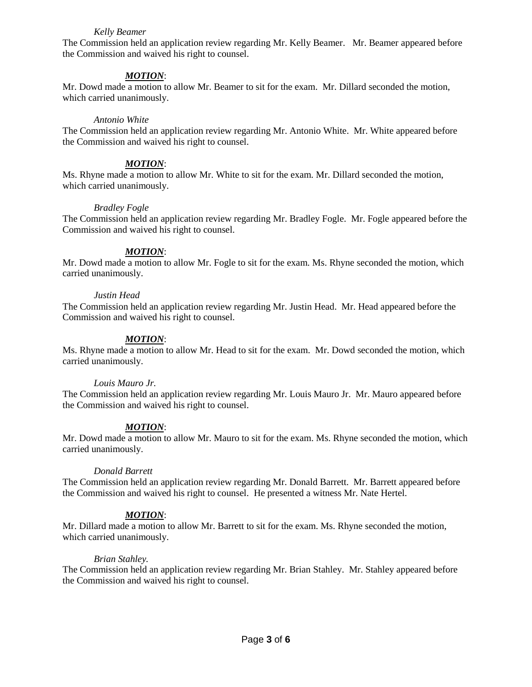### *Kelly Beamer*

The Commission held an application review regarding Mr. Kelly Beamer. Mr. Beamer appeared before the Commission and waived his right to counsel.

## *MOTION*:

Mr. Dowd made a motion to allow Mr. Beamer to sit for the exam. Mr. Dillard seconded the motion, which carried unanimously.

#### *Antonio White*

The Commission held an application review regarding Mr. Antonio White. Mr. White appeared before the Commission and waived his right to counsel.

#### *MOTION*:

Ms. Rhyne made a motion to allow Mr. White to sit for the exam. Mr. Dillard seconded the motion, which carried unanimously.

#### *Bradley Fogle*

The Commission held an application review regarding Mr. Bradley Fogle. Mr. Fogle appeared before the Commission and waived his right to counsel.

#### *MOTION*:

Mr. Dowd made a motion to allow Mr. Fogle to sit for the exam. Ms. Rhyne seconded the motion, which carried unanimously.

#### *Justin Head*

The Commission held an application review regarding Mr. Justin Head. Mr. Head appeared before the Commission and waived his right to counsel.

### *MOTION*:

Ms. Rhyne made a motion to allow Mr. Head to sit for the exam. Mr. Dowd seconded the motion, which carried unanimously.

### *Louis Mauro Jr.*

The Commission held an application review regarding Mr. Louis Mauro Jr. Mr. Mauro appeared before the Commission and waived his right to counsel.

### *MOTION*:

Mr. Dowd made a motion to allow Mr. Mauro to sit for the exam. Ms. Rhyne seconded the motion, which carried unanimously.

#### *Donald Barrett*

The Commission held an application review regarding Mr. Donald Barrett. Mr. Barrett appeared before the Commission and waived his right to counsel. He presented a witness Mr. Nate Hertel.

### *MOTION*:

Mr. Dillard made a motion to allow Mr. Barrett to sit for the exam. Ms. Rhyne seconded the motion, which carried unanimously.

### *Brian Stahley.*

The Commission held an application review regarding Mr. Brian Stahley. Mr. Stahley appeared before the Commission and waived his right to counsel.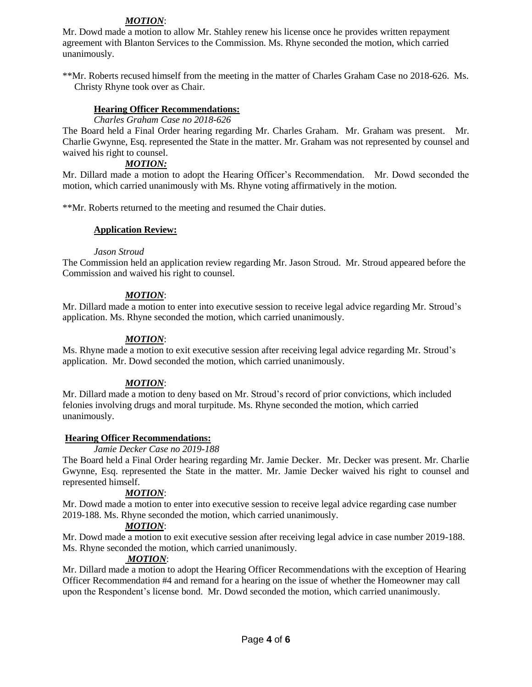# *MOTION*:

Mr. Dowd made a motion to allow Mr. Stahley renew his license once he provides written repayment agreement with Blanton Services to the Commission. Ms. Rhyne seconded the motion, which carried unanimously.

\*\*Mr. Roberts recused himself from the meeting in the matter of Charles Graham Case no 2018-626. Ms. Christy Rhyne took over as Chair.

### **Hearing Officer Recommendations:**

*Charles Graham Case no 2018-626*

The Board held a Final Order hearing regarding Mr. Charles Graham. Mr. Graham was present. Mr. Charlie Gwynne, Esq. represented the State in the matter. Mr. Graham was not represented by counsel and waived his right to counsel.

### *MOTION:*

Mr. Dillard made a motion to adopt the Hearing Officer's Recommendation. Mr. Dowd seconded the motion, which carried unanimously with Ms. Rhyne voting affirmatively in the motion.

\*\*Mr. Roberts returned to the meeting and resumed the Chair duties.

## **Application Review:**

### *Jason Stroud*

The Commission held an application review regarding Mr. Jason Stroud. Mr. Stroud appeared before the Commission and waived his right to counsel.

## *MOTION*:

Mr. Dillard made a motion to enter into executive session to receive legal advice regarding Mr. Stroud's application. Ms. Rhyne seconded the motion, which carried unanimously.

## *MOTION*:

Ms. Rhyne made a motion to exit executive session after receiving legal advice regarding Mr. Stroud's application. Mr. Dowd seconded the motion, which carried unanimously.

# *MOTION*:

Mr. Dillard made a motion to deny based on Mr. Stroud's record of prior convictions, which included felonies involving drugs and moral turpitude. Ms. Rhyne seconded the motion, which carried unanimously.

### **Hearing Officer Recommendations:**

### *Jamie Decker Case no 2019-188*

The Board held a Final Order hearing regarding Mr. Jamie Decker. Mr. Decker was present. Mr. Charlie Gwynne, Esq. represented the State in the matter. Mr. Jamie Decker waived his right to counsel and represented himself.

# *MOTION*:

Mr. Dowd made a motion to enter into executive session to receive legal advice regarding case number 2019-188. Ms. Rhyne seconded the motion, which carried unanimously.

### *MOTION*:

Mr. Dowd made a motion to exit executive session after receiving legal advice in case number 2019-188. Ms. Rhyne seconded the motion, which carried unanimously.

# *MOTION*:

Mr. Dillard made a motion to adopt the Hearing Officer Recommendations with the exception of Hearing Officer Recommendation #4 and remand for a hearing on the issue of whether the Homeowner may call upon the Respondent's license bond. Mr. Dowd seconded the motion, which carried unanimously.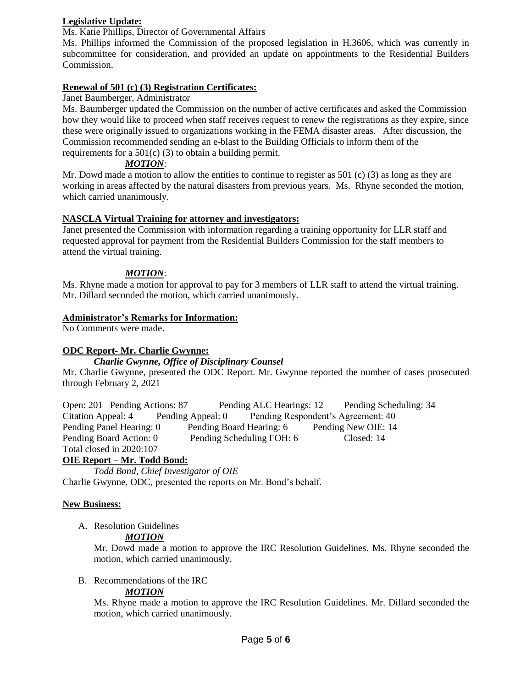# **Legislative Update:**

Ms. Katie Phillips, Director of Governmental Affairs

Ms. Phillips informed the Commission of the proposed legislation in H.3606, which was currently in subcommittee for consideration, and provided an update on appointments to the Residential Builders Commission.

## **Renewal of 501 (c) (3) Registration Certificates:**

## Janet Baumberger, Administrator

Ms. Baumberger updated the Commission on the number of active certificates and asked the Commission how they would like to proceed when staff receives request to renew the registrations as they expire, since these were originally issued to organizations working in the FEMA disaster areas. After discussion, the Commission recommended sending an e-blast to the Building Officials to inform them of the requirements for a 501(c) (3) to obtain a building permit.

## *MOTION*:

Mr. Dowd made a motion to allow the entities to continue to register as 501 (c) (3) as long as they are working in areas affected by the natural disasters from previous years. Ms. Rhyne seconded the motion, which carried unanimously.

## **NASCLA Virtual Training for attorney and investigators:**

Janet presented the Commission with information regarding a training opportunity for LLR staff and requested approval for payment from the Residential Builders Commission for the staff members to attend the virtual training.

## *MOTION*:

Ms. Rhyne made a motion for approval to pay for 3 members of LLR staff to attend the virtual training. Mr. Dillard seconded the motion, which carried unanimously.

## **Administrator's Remarks for Information:**

No Comments were made.

# **ODC Report- Mr. Charlie Gwynne:**

### *Charlie Gwynne, Office of Disciplinary Counsel*

Mr. Charlie Gwynne, presented the ODC Report. Mr. Gwynne reported the number of cases prosecuted through February 2, 2021

Open: 201 Pending Actions: 87 Pending ALC Hearings: 12 Pending Scheduling: 34 Citation Appeal: 4 Pending Appeal: 0 Pending Respondent's Agreement: 40 Pending Panel Hearing: 0 Pending Board Hearing: 6 Pending New OIE: 14 Pending Board Action: 0 Pending Scheduling FOH: 6 Closed: 14 Total closed in 2020:107

# **OIE Report – Mr. Todd Bond:**

*Todd Bond, Chief Investigator of OIE* Charlie Gwynne, ODC, presented the reports on Mr. Bond's behalf.

### **New Business:**

A. Resolution Guidelines

# *MOTION*

Mr. Dowd made a motion to approve the IRC Resolution Guidelines. Ms. Rhyne seconded the motion, which carried unanimously.

### B. Recommendations of the IRC

# *MOTION*

Ms. Rhyne made a motion to approve the IRC Resolution Guidelines. Mr. Dillard seconded the motion, which carried unanimously.